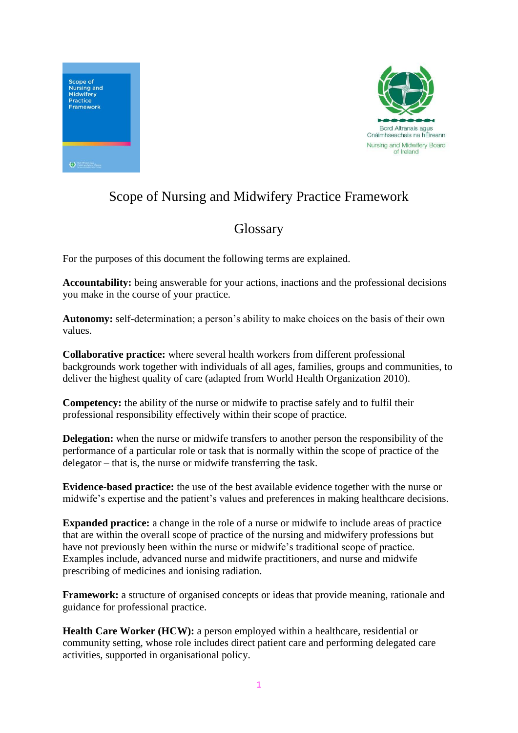



## Scope of Nursing and Midwifery Practice Framework

## **Glossary**

For the purposes of this document the following terms are explained.

**Accountability:** being answerable for your actions, inactions and the professional decisions you make in the course of your practice.

**Autonomy:** self-determination; a person's ability to make choices on the basis of their own values.

**Collaborative practice:** where several health workers from different professional backgrounds work together with individuals of all ages, families, groups and communities, to deliver the highest quality of care (adapted from World Health Organization 2010).

**Competency:** the ability of the nurse or midwife to practise safely and to fulfil their professional responsibility effectively within their scope of practice.

**Delegation:** when the nurse or midwife transfers to another person the responsibility of the performance of a particular role or task that is normally within the scope of practice of the delegator – that is, the nurse or midwife transferring the task.

**Evidence-based practice:** the use of the best available evidence together with the nurse or midwife's expertise and the patient's values and preferences in making healthcare decisions.

**Expanded practice:** a change in the role of a nurse or midwife to include areas of practice that are within the overall scope of practice of the nursing and midwifery professions but have not previously been within the nurse or midwife's traditional scope of practice. Examples include, advanced nurse and midwife practitioners, and nurse and midwife prescribing of medicines and ionising radiation.

**Framework:** a structure of organised concepts or ideas that provide meaning, rationale and guidance for professional practice.

**Health Care Worker (HCW):** a person employed within a healthcare, residential or community setting, whose role includes direct patient care and performing delegated care activities, supported in organisational policy.